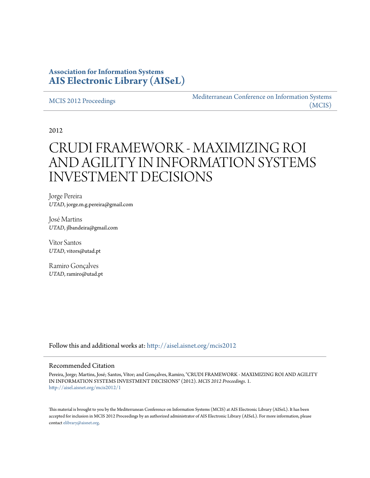## **Association for Information Systems [AIS Electronic Library \(AISeL\)](http://aisel.aisnet.org?utm_source=aisel.aisnet.org%2Fmcis2012%2F1&utm_medium=PDF&utm_campaign=PDFCoverPages)**

[MCIS 2012 Proceedings](http://aisel.aisnet.org/mcis2012?utm_source=aisel.aisnet.org%2Fmcis2012%2F1&utm_medium=PDF&utm_campaign=PDFCoverPages)

[Mediterranean Conference on Information Systems](http://aisel.aisnet.org/mcis?utm_source=aisel.aisnet.org%2Fmcis2012%2F1&utm_medium=PDF&utm_campaign=PDFCoverPages) [\(MCIS\)](http://aisel.aisnet.org/mcis?utm_source=aisel.aisnet.org%2Fmcis2012%2F1&utm_medium=PDF&utm_campaign=PDFCoverPages)

2012

# CRUDI FRAMEWORK - MAXIMIZING ROI AND AGILITY IN INFORMATION SYSTEMS INVESTMENT DECISIONS

Jorge Pereira *UTAD*, jorge.m.g.pereira@gmail.com

José Martins *UTAD*, jlbandeira@gmail.com

Vítor Santos *UTAD*, vitors@utad.pt

Ramiro Gonçalves *UTAD*, ramiro@utad.pt

Follow this and additional works at: [http://aisel.aisnet.org/mcis2012](http://aisel.aisnet.org/mcis2012?utm_source=aisel.aisnet.org%2Fmcis2012%2F1&utm_medium=PDF&utm_campaign=PDFCoverPages)

#### Recommended Citation

Pereira, Jorge; Martins, José; Santos, Vítor; and Gonçalves, Ramiro, "CRUDI FRAMEWORK - MAXIMIZING ROI AND AGILITY IN INFORMATION SYSTEMS INVESTMENT DECISIONS" (2012). *MCIS 2012 Proceedings*. 1. [http://aisel.aisnet.org/mcis2012/1](http://aisel.aisnet.org/mcis2012/1?utm_source=aisel.aisnet.org%2Fmcis2012%2F1&utm_medium=PDF&utm_campaign=PDFCoverPages)

This material is brought to you by the Mediterranean Conference on Information Systems (MCIS) at AIS Electronic Library (AISeL). It has been accepted for inclusion in MCIS 2012 Proceedings by an authorized administrator of AIS Electronic Library (AISeL). For more information, please contact [elibrary@aisnet.org.](mailto:elibrary@aisnet.org%3E)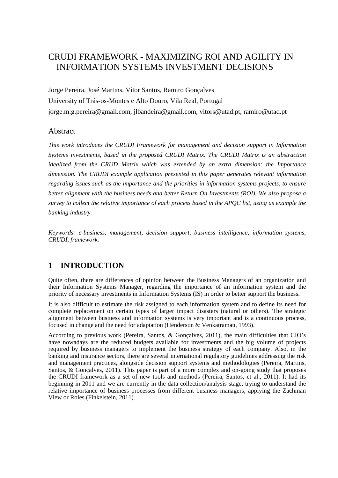## CRUDI FRAMEWORK - MAXIMIZING ROI AND AGILITY IN INFORMATION SYSTEMS INVESTMENT DECISIONS

Jorge Pereira, José Martins, Vítor Santos, Ramiro Gonçalves University of Trás-os-Montes e Alto Douro, Vila Real, Portugal jorge.m.g.pereira@gmail.com, jlbandeira@gmail.com, vitors@utad.pt, ramiro@utad.pt

### Abstract

*This work introduces the CRUDI Framework for management and decision support in Information Systems investments, based in the proposed CRUDI Matrix. The CRUDI Matrix is an abstraction idealized from the CRUD Matrix which was extended by an extra dimension: the Importance dimension. The CRUDI example application presented in this paper generates relevant information regarding issues such as the importance and the priorities in information systems projects, to ensure better alignment with the business needs and better Return On Investments (ROI). We also propose a survey to collect the relative importance of each process based in the APQC list, using as example the banking industry.* 

*Keywords: e-business, management, decision support, business intelligence, information systems, CRUDI, framework.* 

## **1 INTRODUCTION**

Quite often, there are differences of opinion between the Business Managers of an organization and their Information Systems Manager, regarding the importance of an information system and the priority of necessary investments in Information Systems (IS) in order to better support the business.

It is also difficult to estimate the risk assigned to each information system and to define its need for complete replacement on certain types of larger impact disasters (natural or others). The strategic alignment between business and information systems is very important and is a continuous process, focused in change and the need for adaptation (Henderson & Venkatraman, 1993).

According to previous work (Pereira, Santos, & Gonçalves, 2011), the main difficulties that CIO's have nowadays are the reduced budgets available for investments and the big volume of projects required by business managers to implement the business strategy of each company. Also, in the banking and insurance sectors, there are several international regulatory guidelines addressing the risk and management practices, alongside decision support systems and methodologies (Pereira, Martins, Santos, & Gonçalves, 2011). This paper is part of a more complex and on-going study that proposes the CRUDI framework as a set of new tools and methods (Pereira, Santos, et al., 2011). It had its beginning in 2011 and we are currently in the data collection/analysis stage, trying to understand the relative importance of business processes from different business managers, applying the Zachman View or Roles (Finkelstein, 2011).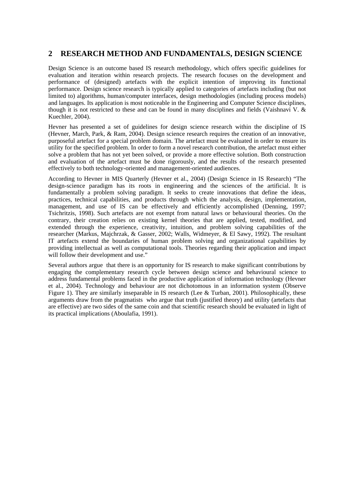## **2 RESEARCH METHOD AND FUNDAMENTALS, DESIGN SCIENCE**

Design Science is an outcome based IS research methodology, which offers specific guidelines for evaluation and iteration within research projects. The research focuses on the development and performance of (designed) artefacts with the explicit intention of improving its functional performance. Design science research is typically applied to categories of artefacts including (but not limited to) algorithms, human/computer interfaces, design methodologies (including process models) and languages. Its application is most noticeable in the Engineering and Computer Science disciplines, though it is not restricted to these and can be found in many disciplines and fields (Vaishnavi V.  $\&$ Kuechler, 2004).

Hevner has presented a set of guidelines for design science research within the discipline of IS (Hevner, March, Park, & Ram, 2004). Design science research requires the creation of an innovative, purposeful artefact for a special problem domain. The artefact must be evaluated in order to ensure its utility for the specified problem. In order to form a novel research contribution, the artefact must either solve a problem that has not yet been solved, or provide a more effective solution. Both construction and evaluation of the artefact must be done rigorously, and the results of the research presented effectively to both technology-oriented and management-oriented audiences.

According to Hevner in MIS Quarterly (Hevner et al., 2004) (Design Science in IS Research) "The design-science paradigm has its roots in engineering and the sciences of the artificial. It is fundamentally a problem solving paradigm. It seeks to create innovations that define the ideas, practices, technical capabilities, and products through which the analysis, design, implementation, management, and use of IS can be effectively and efficiently accomplished (Denning, 1997; Tsichritzis, 1998). Such artefacts are not exempt from natural laws or behavioural theories. On the contrary, their creation relies on existing kernel theories that are applied, tested, modified, and extended through the experience, creativity, intuition, and problem solving capabilities of the researcher (Markus, Majchrzak, & Gasser, 2002; Walls, Widmeyer, & El Sawy, 1992). The resultant IT artefacts extend the boundaries of human problem solving and organizational capabilities by providing intellectual as well as computational tools. Theories regarding their application and impact will follow their development and use."

Several authors argue that there is an opportunity for IS research to make significant contributions by engaging the complementary research cycle between design science and behavioural science to address fundamental problems faced in the productive application of information technology (Hevner et al., 2004). Technology and behaviour are not dichotomous in an information system (Observe Figure 1). They are similarly inseparable in IS research (Lee & Turban, 2001). Philosophically, these arguments draw from the pragmatists who argue that truth (justified theory) and utility (artefacts that are effective) are two sides of the same coin and that scientific research should be evaluated in light of its practical implications (Aboulafia, 1991).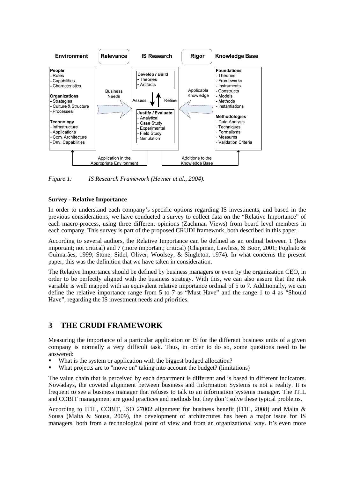

*Figure 1: IS Research Framework (Hevner et al., 2004).* 

#### **Survey - Relative Importance**

In order to understand each company's specific options regarding IS investments, and based in the previous considerations, we have conducted a survey to collect data on the "Relative Importance" of each macro-process, using three different opinions (Zachman Views) from board level members in each company. This survey is part of the proposed CRUDI framework, both described in this paper.

According to several authors, the Relative Importance can be defined as an ordinal between 1 (less important; not critical) and 7 (more important; critical) (Chapman, Lawless, & Boor, 2001; Fogliato & Guimarães, 1999; Stone, Sidel, Oliver, Woolsey, & Singleton, 1974). In what concerns the present paper, this was the definition that we have taken in consideration.

The Relative Importance should be defined by business managers or even by the organization CEO, in order to be perfectly aligned with the business strategy. With this, we can also assure that the risk variable is well mapped with an equivalent relative importance ordinal of 5 to 7. Additionally, we can define the relative importance range from 5 to 7 as "Must Have" and the range 1 to 4 as "Should Have", regarding the IS investment needs and priorities.

## **3 THE CRUDI FRAMEWORK**

Measuring the importance of a particular application or IS for the different business units of a given company is normally a very difficult task. Thus, in order to do so, some questions need to be answered:

- What is the system or application with the biggest budged allocation?
- What projects are to "move on" taking into account the budget? (limitations)

The value chain that is perceived by each department is different and is based in different indicators. Nowadays, the coveted alignment between business and Information Systems is not a reality. It is frequent to see a business manager that refuses to talk to an information systems manager. The ITIL and COBIT management are good practices and methods but they don't solve these typical problems.

According to ITIL, COBIT, ISO 27002 alignment for business benefit (ITIL, 2008) and Malta & Sousa (Malta & Sousa, 2009), the development of architectures has been a major issue for IS managers, both from a technological point of view and from an organizational way. It's even more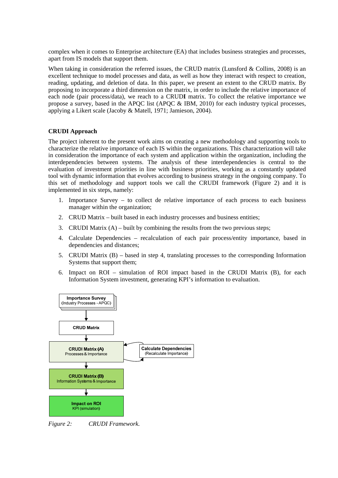complex when it comes to Enterprise architecture (EA) that includes business strategies and processes, apart from IS models that support them.

When taking in consideration the referred issues, the CRUD matrix (Lunsford & Collins,  $2008$ ) is an excellent technique to model processes and data, as well as how they interact with respect to creation, reading, updating, and deletion of data. In this paper, we present an extent to the CRUD matrix. By proposing to incorporate a third dimension on the matrix, in order to include the relative importance of each node (pair process/data), we reach to a CRUD**I** matrix. To collect the relative importance we propose a survey, based in the APQC list (APQC & IBM, 2010) for each industry typical processes, applying a Likert scale (Jacoby & Matell, 1971; Jamieson, 2004).

#### **CRUDI Approach**

The project inherent to the present work aims on creating a new methodology and supporting tools to characterize the relative importance of each IS within the organizations. This characterization will take in consideration the importance of each system and application within the organization, including the interdependencies between systems. The analysis of these interdependencies is central to the evaluation of investment priorities in line with business priorities, working as a constantly updated tool with dynamic information that evolves according to business strategy in the ongoing company. To this set of methodology and support tools we call the CRUDI framework (Figure 2) and it is implemented in six steps, namely:

- 1. Importance Survey to collect de relative importance of each process to each business manager within the organization;
- 2. CRUD Matrix built based in each industry processes and business entities;
- 3. CRUDI Matrix  $(A)$  built by combining the results from the two previous steps;
- 4. Calculate Dependencies recalculation of each pair process/entity importance, based in dependencies and distances;
- 5. CRUDI Matrix (B) based in step 4, translating processes to the corresponding Information Systems that support them;
- 6. Impact on ROI simulation of ROI impact based in the CRUDI Matrix (B), for each Information System investment, generating KPI's information to evaluation.



*Figure 2: CRUDI Framework.*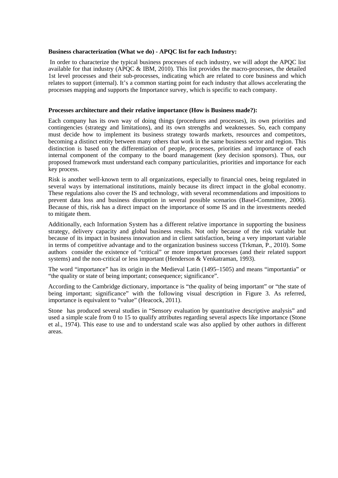#### **Business characterization (What we do) - APQC list for each Industry:**

 In order to characterize the typical business processes of each industry, we will adopt the APQC list available for that industry (APQC & IBM, 2010). This list provides the macro-processes, the detailed 1st level processes and their sub-processes, indicating which are related to core business and which relates to support (internal). It's a common starting point for each industry that allows accelerating the processes mapping and supports the Importance survey, which is specific to each company.

#### **Processes architecture and their relative importance (How is Business made?):**

Each company has its own way of doing things (procedures and processes), its own priorities and contingencies (strategy and limitations), and its own strengths and weaknesses. So, each company must decide how to implement its business strategy towards markets, resources and competitors, becoming a distinct entity between many others that work in the same business sector and region. This distinction is based on the differentiation of people, processes, priorities and importance of each internal component of the company to the board management (key decision sponsors). Thus, our proposed framework must understand each company particularities, priorities and importance for each key process.

Risk is another well-known term to all organizations, especially to financial ones, being regulated in several ways by international institutions, mainly because its direct impact in the global economy. These regulations also cover the IS and technology, with several recommendations and impositions to prevent data loss and business disruption in several possible scenarios (Basel-Committee, 2006). Because of this, risk has a direct impact on the importance of some IS and in the investments needed to mitigate them.

Additionally, each Information System has a different relative importance in supporting the business strategy, delivery capacity and global business results. Not only because of the risk variable but because of its impact in business innovation and in client satisfaction, being a very important variable in terms of competitive advantage and to the organization business success (Trkman, P., 2010). Some authors consider the existence of "critical" or more important processes (and their related support systems) and the non-critical or less important (Henderson & Venkatraman, 1993).

The word "importance" has its origin in the Medieval Latin (1495–1505) and means "importantia" or "the quality or state of being important; consequence; significance".

According to the Cambridge dictionary, importance is "the quality of being important" or "the state of being important; significance" with the following visual description in Figure 3. As referred, importance is equivalent to "value" (Heacock, 2011).

Stone has produced several studies in "Sensory evaluation by quantitative descriptive analysis" and used a simple scale from 0 to 15 to qualify attributes regarding several aspects like importance (Stone et al., 1974). This ease to use and to understand scale was also applied by other authors in different areas.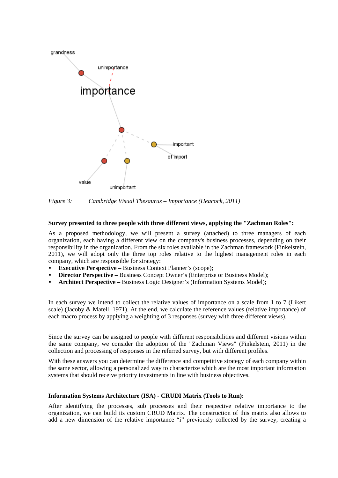

*Figure 3: Cambridge Visual Thesaurus – Importance (Heacock, 2011)* 

#### **Survey presented to three people with three different views, applying the "Zachman Roles":**

As a proposed methodology, we will present a survey (attached) to three managers of each organization, each having a different view on the company's business processes, depending on their responsibility in the organization. From the six roles available in the Zachman framework (Finkelstein, 2011), we will adopt only the three top roles relative to the highest management roles in each company, which are responsible for strategy:

- **Executive Perspective** Business Context Planner's (scope);
- **Director Perspective** Business Concept Owner's (Enterprise or Business Model);
- **Architect Perspective** Business Logic Designer's (Information Systems Model);

In each survey we intend to collect the relative values of importance on a scale from 1 to 7 (Likert scale) (Jacoby & Matell, 1971). At the end, we calculate the reference values (relative importance) of each macro process by applying a weighting of 3 responses (survey with three different views).

Since the survey can be assigned to people with different responsibilities and different visions within the same company, we consider the adoption of the "Zachman Views" (Finkelstein, 2011) in the collection and processing of responses in the referred survey, but with different profiles.

With these answers you can determine the difference and competitive strategy of each company within the same sector, allowing a personalized way to characterize which are the most important information systems that should receive priority investments in line with business objectives.

#### **Information Systems Architecture (ISA) - CRUDI Matrix (Tools to Run):**

After identifying the processes, sub processes and their respective relative importance to the organization, we can build its custom CRUD Matrix. The construction of this matrix also allows to add a new dimension of the relative importance "i" previously collected by the survey, creating a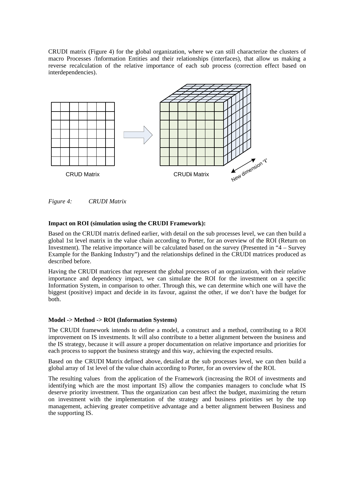CRUDI matrix (Figure 4) for the global organization, where we can still characterize the clusters of macro Processes /Information Entities and their relationships (interfaces), that allow us making a reverse recalculation of the relative importance of each sub process (correction effect based on interdependencies).



*Figure 4: CRUDI Matrix* 

#### **Impact on ROI (simulation using the CRUDI Framework):**

Based on the CRUDI matrix defined earlier, with detail on the sub processes level, we can then build a global 1st level matrix in the value chain according to Porter, for an overview of the ROI (Return on Investment). The relative importance will be calculated based on the survey (Presented in "4 – Survey Example for the Banking Industry") and the relationships defined in the CRUDI matrices produced as described before.

Having the CRUDI matrices that represent the global processes of an organization, with their relative importance and dependency impact, we can simulate the ROI for the investment on a specific Information System, in comparison to other. Through this, we can determine which one will have the biggest (positive) impact and decide in its favour, against the other, if we don't have the budget for both.

#### **Model -> Method -> ROI (Information Systems)**

The CRUDI framework intends to define a model, a construct and a method, contributing to a ROI improvement on IS investments. It will also contribute to a better alignment between the business and the IS strategy, because it will assure a proper documentation on relative importance and priorities for each process to support the business strategy and this way, achieving the expected results.

Based on the CRUDI Matrix defined above, detailed at the sub processes level, we can then build a global array of 1st level of the value chain according to Porter, for an overview of the ROI.

The resulting values from the application of the Framework (increasing the ROI of investments and identifying which are the most important IS) allow the companies managers to conclude what IS deserve priority investment. Thus the organization can best affect the budget, maximizing the return on investment with the implementation of the strategy and business priorities set by the top management, achieving greater competitive advantage and a better alignment between Business and the supporting IS.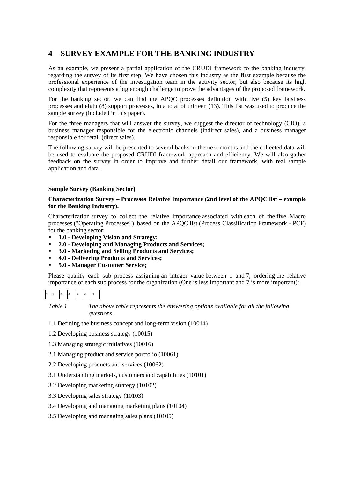## **4 SURVEY EXAMPLE FOR THE BANKING INDUSTRY**

As an example, we present a partial application of the CRUDI framework to the banking industry, regarding the survey of its first step. We have chosen this industry as the first example because the professional experience of the investigation team in the activity sector, but also because its high complexity that represents a big enough challenge to prove the advantages of the proposed framework.

For the banking sector, we can find the APQC processes definition with five (5) key business processes and eight (8) support processes, in a total of thirteen (13). This list was used to produce the sample survey (included in this paper).

For the three managers that will answer the survey, we suggest the director of technology (CIO), a business manager responsible for the electronic channels (indirect sales), and a business manager responsible for retail (direct sales).

The following survey will be presented to several banks in the next months and the collected data will be used to evaluate the proposed CRUDI framework approach and efficiency. We will also gather feedback on the survey in order to improve and further detail our framework, with real sample application and data.

#### **Sample Survey (Banking Sector)**

#### **Characterization Survey – Processes Relative Importance (2nd level of the APQC list – example for the Banking Industry).**

Characterization survey to collect the relative importance associated with each of the five Macro processes ("Operating Processes"), based on the APQC list (Process Classification Framework - PCF) for the banking sector:

- **1.0 Developing Vision and Strategy;**
- **2.0 Developing and Managing Products and Services;**
- **3.0 Marketing and Selling Products and Services;**
- **4.0 Delivering Products and Services;**
- **5.0 Manager Customer Service;**

Please qualify each sub process assigning an integer value between 1 and 7, ordering the relative importance of each sub process for the organization (One is less important and 7 is more important):

*Table 1. The above table represents the answering options available for all the following questions.* 

- 1.1 Defining the business concept and long-term vision (10014)
- 1.2 Developing business strategy (10015)
- 1.3 Managing strategic initiatives (10016)
- 2.1 Managing product and service portfolio (10061)
- 2.2 Developing products and services (10062)
- 3.1 Understanding markets, customers and capabilities (10101)
- 3.2 Developing marketing strategy (10102)
- 3.3 Developing sales strategy (10103)
- 3.4 Developing and managing marketing plans (10104)
- 3.5 Developing and managing sales plans (10105)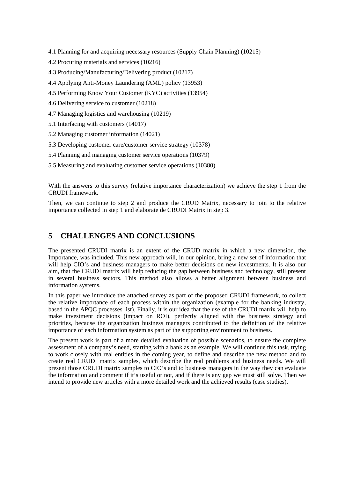- 4.1 Planning for and acquiring necessary resources (Supply Chain Planning) (10215)
- 4.2 Procuring materials and services (10216)
- 4.3 Producing/Manufacturing/Delivering product (10217)
- 4.4 Applying Anti-Money Laundering (AML) policy (13953)
- 4.5 Performing Know Your Customer (KYC) activities (13954)
- 4.6 Delivering service to customer (10218)
- 4.7 Managing logistics and warehousing (10219)
- 5.1 Interfacing with customers (14017)
- 5.2 Managing customer information (14021)
- 5.3 Developing customer care/customer service strategy (10378)
- 5.4 Planning and managing customer service operations (10379)
- 5.5 Measuring and evaluating customer service operations (10380)

With the answers to this survey (relative importance characterization) we achieve the step 1 from the CRUDI framework.

Then, we can continue to step 2 and produce the CRUD Matrix, necessary to join to the relative importance collected in step 1 and elaborate de CRUDI Matrix in step 3.

## **5 CHALLENGES AND CONCLUSIONS**

The presented CRUDI matrix is an extent of the CRUD matrix in which a new dimension, the Importance, was included. This new approach will, in our opinion, bring a new set of information that will help CIO's and business managers to make better decisions on new investments. It is also our aim, that the CRUDI matrix will help reducing the gap between business and technology, still present in several business sectors. This method also allows a better alignment between business and information systems.

In this paper we introduce the attached survey as part of the proposed CRUDI framework, to collect the relative importance of each process within the organization (example for the banking industry, based in the APQC processes list). Finally, it is our idea that the use of the CRUDI matrix will help to make investment decisions (impact on ROI), perfectly aligned with the business strategy and priorities, because the organization business managers contributed to the definition of the relative importance of each information system as part of the supporting environment to business.

The present work is part of a more detailed evaluation of possible scenarios, to ensure the complete assessment of a company's need, starting with a bank as an example. We will continue this task, trying to work closely with real entities in the coming year, to define and describe the new method and to create real CRUDI matrix samples, which describe the real problems and business needs. We will present those CRUDI matrix samples to CIO's and to business managers in the way they can evaluate the information and comment if it's useful or not, and if there is any gap we must still solve. Then we intend to provide new articles with a more detailed work and the achieved results (case studies).